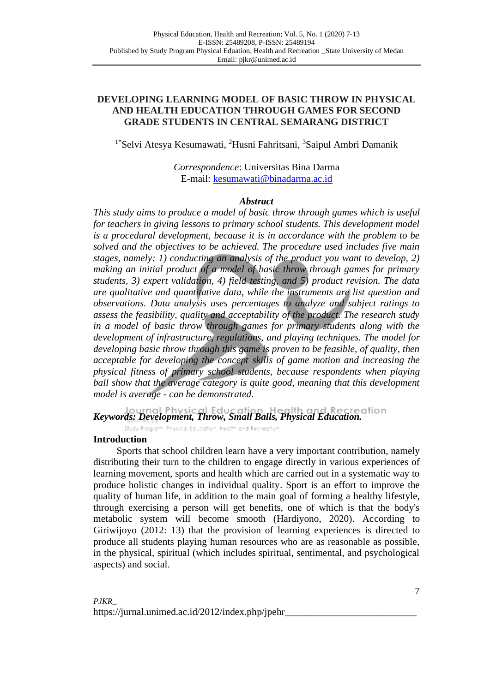# **DEVELOPING LEARNING MODEL OF BASIC THROW IN PHYSICAL AND HEALTH EDUCATION THROUGH GAMES FOR SECOND GRADE STUDENTS IN CENTRAL SEMARANG DISTRICT**

<sup>1\*</sup>Selvi Atesya Kesumawati, <sup>2</sup>Husni Fahritsani, <sup>3</sup>Saipul Ambri Damanik

*Correspondence*: Universitas Bina Darma E-mail: [kesumawati@binadarma.ac.id](mailto:kesumawati@binadarma.ac.id)

### *Abstract*

*This study aims to produce a model of basic throw through games which is useful for teachers in giving lessons to primary school students. This development model is a procedural development, because it is in accordance with the problem to be solved and the objectives to be achieved. The procedure used includes five main stages, namely: 1) conducting an analysis of the product you want to develop, 2) making an initial product of a model of basic throw through games for primary students, 3) expert validation, 4) field testing, and 5) product revision. The data are qualitative and quantitative data, while the instruments are list question and observations. Data analysis uses percentages to analyze and subject ratings to assess the feasibility, quality and acceptability of the product. The research study in a model of basic throw through games for primary students along with the development of infrastructure, regulations, and playing techniques. The model for developing basic throw through this game is proven to be feasible, of quality, then acceptable for developing the concept skills of game motion and increasing the physical fitness of primary school students, because respondents when playing ball show that the average category is quite good, meaning that this development model is average - can be demonstrated.*

*Keywords: Development, Throw, Small Balls, Physical Education.*

Study Program. Physical Education, Health and Recreation

## **Introduction**

Sports that school children learn have a very important contribution, namely distributing their turn to the children to engage directly in various experiences of learning movement, sports and health which are carried out in a systematic way to produce holistic changes in individual quality. Sport is an effort to improve the quality of human life, in addition to the main goal of forming a healthy lifestyle, through exercising a person will get benefits, one of which is that the body's metabolic system will become smooth (Hardiyono, 2020). According to Giriwijoyo (2012: 13) that the provision of learning experiences is directed to produce all students playing human resources who are as reasonable as possible, in the physical, spiritual (which includes spiritual, sentimental, and psychological aspects) and social.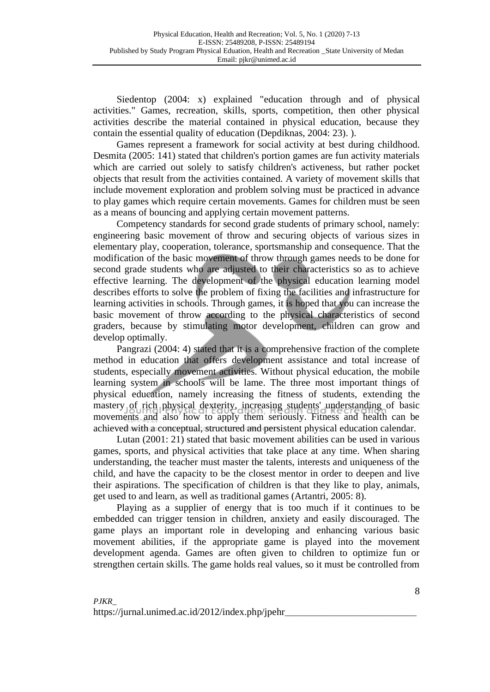Siedentop (2004: x) explained "education through and of physical activities." Games, recreation, skills, sports, competition, then other physical activities describe the material contained in physical education, because they contain the essential quality of education (Depdiknas, 2004: 23). ).

Games represent a framework for social activity at best during childhood. Desmita (2005: 141) stated that children's portion games are fun activity materials which are carried out solely to satisfy children's activeness, but rather pocket objects that result from the activities contained. A variety of movement skills that include movement exploration and problem solving must be practiced in advance to play games which require certain movements. Games for children must be seen as a means of bouncing and applying certain movement patterns.

Competency standards for second grade students of primary school, namely: engineering basic movement of throw and securing objects of various sizes in elementary play, cooperation, tolerance, sportsmanship and consequence. That the modification of the basic movement of throw through games needs to be done for second grade students who are adjusted to their characteristics so as to achieve effective learning. The development of the physical education learning model describes efforts to solve the problem of fixing the facilities and infrastructure for learning activities in schools. Through games, it is hoped that you can increase the basic movement of throw according to the physical characteristics of second graders, because by stimulating motor development, children can grow and develop optimally.

Pangrazi (2004: 4) stated that it is a comprehensive fraction of the complete method in education that offers development assistance and total increase of students, especially movement activities. Without physical education, the mobile learning system in schools will be lame. The three most important things of physical education, namely increasing the fitness of students, extending the mastery of rich physical dexterity, increasing students' understanding of basic movements and also how to apply them seriously. Fitness and health can be achieved with a conceptual, structured and persistent physical education calendar.

Lutan (2001: 21) stated that basic movement abilities can be used in various games, sports, and physical activities that take place at any time. When sharing understanding, the teacher must master the talents, interests and uniqueness of the child, and have the capacity to be the closest mentor in order to deepen and live their aspirations. The specification of children is that they like to play, animals, get used to and learn, as well as traditional games (Artantri, 2005: 8).

Playing as a supplier of energy that is too much if it continues to be embedded can trigger tension in children, anxiety and easily discouraged. The game plays an important role in developing and enhancing various basic movement abilities, if the appropriate game is played into the movement development agenda. Games are often given to children to optimize fun or strengthen certain skills. The game holds real values, so it must be controlled from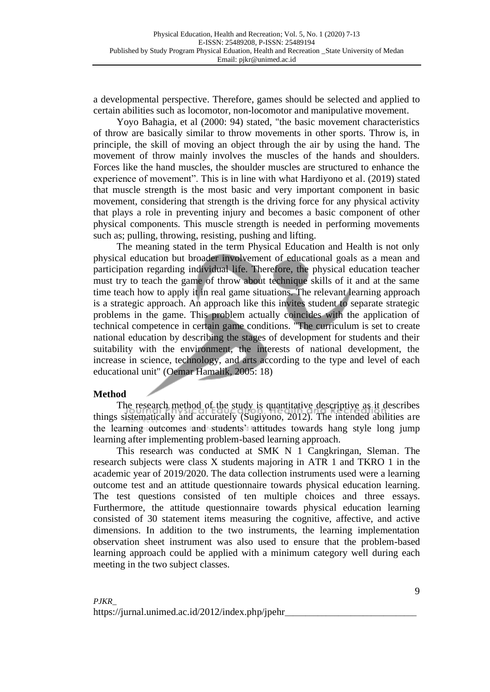a developmental perspective. Therefore, games should be selected and applied to certain abilities such as locomotor, non-locomotor and manipulative movement.

Yoyo Bahagia, et al (2000: 94) stated, "the basic movement characteristics of throw are basically similar to throw movements in other sports. Throw is, in principle, the skill of moving an object through the air by using the hand. The movement of throw mainly involves the muscles of the hands and shoulders. Forces like the hand muscles, the shoulder muscles are structured to enhance the experience of movement". This is in line with what Hardiyono et al. (2019) stated that muscle strength is the most basic and very important component in basic movement, considering that strength is the driving force for any physical activity that plays a role in preventing injury and becomes a basic component of other physical components. This muscle strength is needed in performing movements such as; pulling, throwing, resisting, pushing and lifting.

The meaning stated in the term Physical Education and Health is not only physical education but broader involvement of educational goals as a mean and participation regarding individual life. Therefore, the physical education teacher must try to teach the game of throw about technique skills of it and at the same time teach how to apply it in real game situations. The relevant learning approach is a strategic approach. An approach like this invites student to separate strategic problems in the game. This problem actually coincides with the application of technical competence in certain game conditions. "The curriculum is set to create national education by describing the stages of development for students and their suitability with the environment, the interests of national development, the increase in science, technology, and arts according to the type and level of each educational unit" (Oemar Hamalik, 2005: 18)

## **Method**

The research method of the study is quantitative descriptive as it describes things sistematically and accurately (Sugiyono, 2012). The intended abilities are the learning outcomes and students' attitudes towards hang style long jump learning after implementing problem-based learning approach.

This research was conducted at SMK N 1 Cangkringan, Sleman. The research subjects were class X students majoring in ATR 1 and TKRO 1 in the academic year of 2019/2020. The data collection instruments used were a learning outcome test and an attitude questionnaire towards physical education learning. The test questions consisted of ten multiple choices and three essays. Furthermore, the attitude questionnaire towards physical education learning consisted of 30 statement items measuring the cognitive, affective, and active dimensions. In addition to the two instruments, the learning implementation observation sheet instrument was also used to ensure that the problem-based learning approach could be applied with a minimum category well during each meeting in the two subject classes.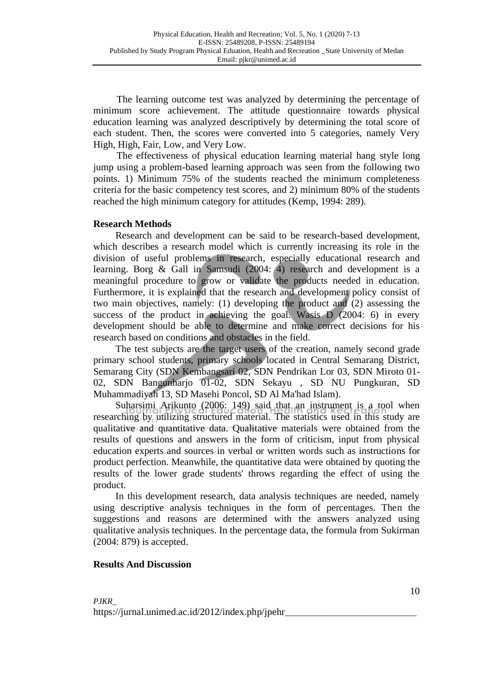The learning outcome test was analyzed by determining the percentage of minimum score achievement. The attitude questionnaire towards physical education learning was analyzed descriptively by determining the total score of each student. Then, the scores were converted into 5 categories, namely Very High, High, Fair, Low, and Very Low.

The effectiveness of physical education learning material hang style long jump using a problem-based learning approach was seen from the following two points. 1) Minimum 75% of the students reached the minimum completeness criteria for the basic competency test scores, and 2) minimum 80% of the students reached the high minimum category for attitudes (Kemp, 1994: 289).

### **Research Methods**

Research and development can be said to be research-based development, which describes a research model which is currently increasing its role in the division of useful problems in research, especially educational research and learning. Borg & Gall in Samsudi (2004: 4) research and development is a meaningful procedure to grow or validate the products needed in education. Furthermore, it is explained that the research and development policy consist of two main objectives, namely: (1) developing the product and (2) assessing the success of the product in achieving the goal. Wasis D (2004: 6) in every development should be able to determine and make correct decisions for his research based on conditions and obstacles in the field.

The test subjects are the target users of the creation, namely second grade primary school students, primary schools located in Central Semarang District, Semarang City (SDN Kembangsari 02, SDN Pendrikan Lor 03, SDN Miroto 01- 02, SDN Bangunharjo 01-02, SDN Sekayu , SD NU Pungkuran, SD Muhammadiyah 13, SD Masehi Poncol, SD Al Ma'had Islam).

Suharsimi Arikunto (2006: 149) said that an instrument is a tool when researching by utilizing structured material. The statistics used in this study are qualitative and quantitative data. Qualitative materials were obtained from the results of questions and answers in the form of criticism, input from physical education experts and sources in verbal or written words such as instructions for product perfection. Meanwhile, the quantitative data were obtained by quoting the results of the lower grade students' throws regarding the effect of using the product.

In this development research, data analysis techniques are needed, namely using descriptive analysis techniques in the form of percentages. Then the suggestions and reasons are determined with the answers analyzed using qualitative analysis techniques. In the percentage data, the formula from Sukirman (2004: 879) is accepted.

## **Results And Discussion**

*PJKR\_* https://jurnal.unimed.ac.id/2012/index.php/jpehr\_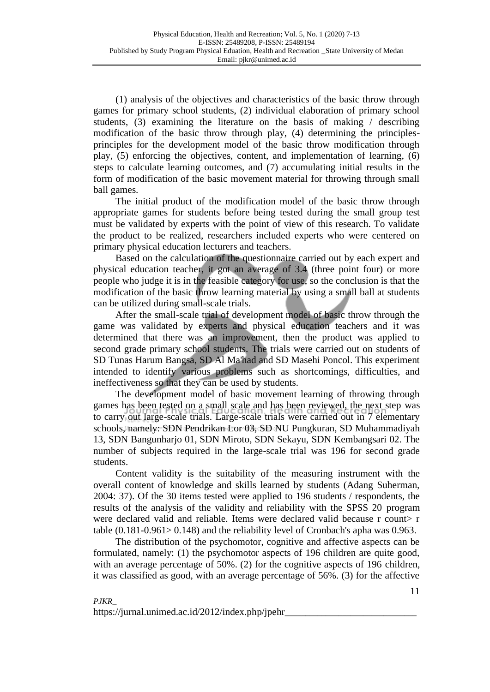(1) analysis of the objectives and characteristics of the basic throw through games for primary school students, (2) individual elaboration of primary school students, (3) examining the literature on the basis of making / describing modification of the basic throw through play, (4) determining the principlesprinciples for the development model of the basic throw modification through play, (5) enforcing the objectives, content, and implementation of learning, (6) steps to calculate learning outcomes, and (7) accumulating initial results in the form of modification of the basic movement material for throwing through small ball games.

The initial product of the modification model of the basic throw through appropriate games for students before being tested during the small group test must be validated by experts with the point of view of this research. To validate the product to be realized, researchers included experts who were centered on primary physical education lecturers and teachers.

Based on the calculation of the questionnaire carried out by each expert and physical education teacher, it got an average of 3.4 (three point four) or more people who judge it is in the feasible category for use, so the conclusion is that the modification of the basic throw learning material by using a small ball at students can be utilized during small-scale trials.

After the small-scale trial of development model of basic throw through the game was validated by experts and physical education teachers and it was determined that there was an improvement, then the product was applied to second grade primary school students. The trials were carried out on students of SD Tunas Harum Bangsa, SD Al Ma'had and SD Masehi Poncol. This experiment intended to identify various problems such as shortcomings, difficulties, and ineffectiveness so that they can be used by students.

The development model of basic movement learning of throwing through games has been tested on a small scale and has been reviewed, the next step was to carry out large-scale trials. Large-scale trials were carried out in 7 elementary schools, namely: SDN Pendrikan Lor 03, SD NU Pungkuran, SD Muhammadiyah 13, SDN Bangunharjo 01, SDN Miroto, SDN Sekayu, SDN Kembangsari 02. The number of subjects required in the large-scale trial was 196 for second grade students.

Content validity is the suitability of the measuring instrument with the overall content of knowledge and skills learned by students (Adang Suherman, 2004: 37). Of the 30 items tested were applied to 196 students / respondents, the results of the analysis of the validity and reliability with the SPSS 20 program were declared valid and reliable. Items were declared valid because r count> r table  $(0.181-0.961>0.148)$  and the reliability level of Cronbach's apha was 0.963.

The distribution of the psychomotor, cognitive and affective aspects can be formulated, namely: (1) the psychomotor aspects of 196 children are quite good, with an average percentage of 50%. (2) for the cognitive aspects of 196 children, it was classified as good, with an average percentage of 56%. (3) for the affective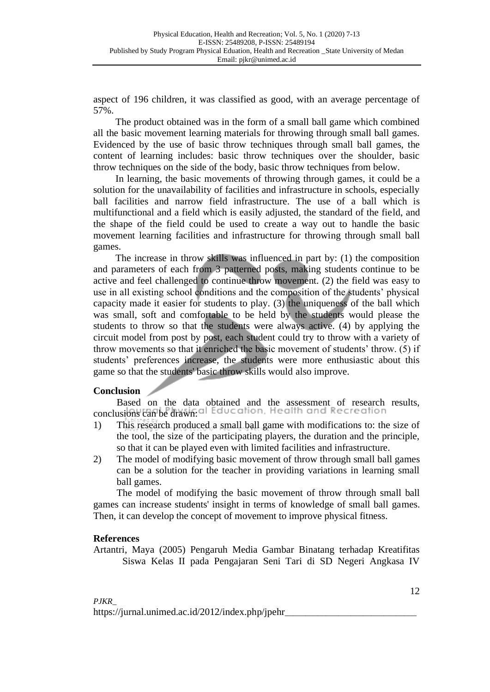aspect of 196 children, it was classified as good, with an average percentage of 57%.

The product obtained was in the form of a small ball game which combined all the basic movement learning materials for throwing through small ball games. Evidenced by the use of basic throw techniques through small ball games, the content of learning includes: basic throw techniques over the shoulder, basic throw techniques on the side of the body, basic throw techniques from below.

In learning, the basic movements of throwing through games, it could be a solution for the unavailability of facilities and infrastructure in schools, especially ball facilities and narrow field infrastructure. The use of a ball which is multifunctional and a field which is easily adjusted, the standard of the field, and the shape of the field could be used to create a way out to handle the basic movement learning facilities and infrastructure for throwing through small ball games.

The increase in throw skills was influenced in part by: (1) the composition and parameters of each from 3 patterned posts, making students continue to be active and feel challenged to continue throw movement. (2) the field was easy to use in all existing school conditions and the composition of the students' physical capacity made it easier for students to play. (3) the uniqueness of the ball which was small, soft and comfortable to be held by the students would please the students to throw so that the students were always active. (4) by applying the circuit model from post by post, each student could try to throw with a variety of throw movements so that it enriched the basic movement of students' throw. (5) if students' preferences increase, the students were more enthusiastic about this game so that the students' basic throw skills would also improve.

## **Conclusion**

Based on the data obtained and the assessment of research results, conclusions can be drawn al Education, Health and Recreation

- 1) This research produced a small ball game with modifications to: the size of the tool, the size of the participating players, the duration and the principle, so that it can be played even with limited facilities and infrastructure.
- 2) The model of modifying basic movement of throw through small ball games can be a solution for the teacher in providing variations in learning small ball games.

The model of modifying the basic movement of throw through small ball games can increase students' insight in terms of knowledge of small ball games. Then, it can develop the concept of movement to improve physical fitness.

### **References**

Artantri, Maya (2005) Pengaruh Media Gambar Binatang terhadap Kreatifitas Siswa Kelas II pada Pengajaran Seni Tari di SD Negeri Angkasa IV